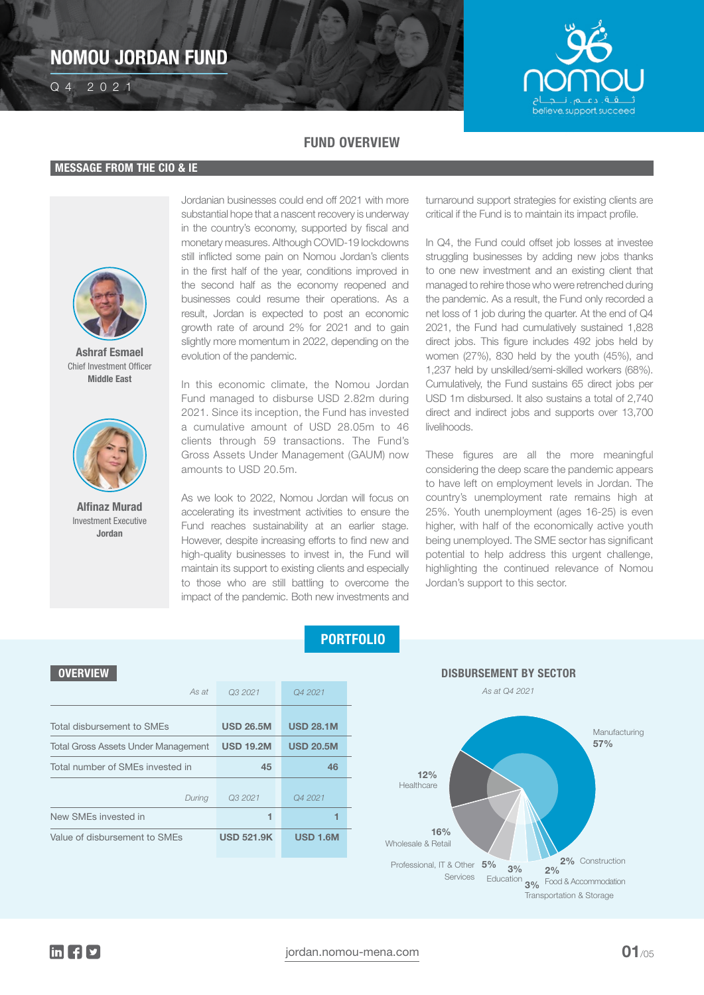# NOMOU JORDAN FUND Q4 2021 NOMOU JORDAN FUND



## FUND OVERVIEW

### MESSAGE FROM THE CIO & IE



Ashraf Esmael Chief Investment Officer Middle East



Alfinaz Murad Investment Executive Jordan

Jordanian businesses could end off 2021 with more substantial hope that a nascent recovery is underway in the country's economy, supported by fiscal and monetary measures. Although COVID-19 lockdowns still inflicted some pain on Nomou Jordan's clients in the first half of the year, conditions improved in the second half as the economy reopened and businesses could resume their operations. As a result, Jordan is expected to post an economic growth rate of around 2% for 2021 and to gain slightly more momentum in 2022, depending on the evolution of the pandemic.

In this economic climate, the Nomou Jordan Fund managed to disburse USD 2.82m during 2021. Since its inception, the Fund has invested a cumulative amount of USD 28.05m to 46 clients through 59 transactions. The Fund's Gross Assets Under Management (GAUM) now amounts to USD 20.5m.

As we look to 2022, Nomou Jordan will focus on accelerating its investment activities to ensure the Fund reaches sustainability at an earlier stage. However, despite increasing efforts to find new and high-quality businesses to invest in, the Fund will maintain its support to existing clients and especially to those who are still battling to overcome the impact of the pandemic. Both new investments and turnaround support strategies for existing clients are critical if the Fund is to maintain its impact profile.

In Q4, the Fund could offset job losses at investee struggling businesses by adding new jobs thanks to one new investment and an existing client that managed to rehire those who were retrenched during the pandemic. As a result, the Fund only recorded a net loss of 1 job during the quarter. At the end of Q4 2021, the Fund had cumulatively sustained 1,828 direct jobs. This figure includes 492 jobs held by women (27%), 830 held by the youth (45%), and 1,237 held by unskilled/semi-skilled workers (68%). Cumulatively, the Fund sustains 65 direct jobs per USD 1m disbursed. It also sustains a total of 2,740 direct and indirect jobs and supports over 13,700 livelihoods.

These figures are all the more meaningful considering the deep scare the pandemic appears to have left on employment levels in Jordan. The country's unemployment rate remains high at 25%. Youth unemployment (ages 16-25) is even higher, with half of the economically active youth being unemployed. The SME sector has significant potential to help address this urgent challenge, highlighting the continued relevance of Nomou Jordan's support to this sector.

| <b>OVERVIEW</b>                            |                   |                  |  |
|--------------------------------------------|-------------------|------------------|--|
| As at                                      | Q3 2021           | Q4 2021          |  |
| Total disbursement to SMEs                 | <b>USD 26.5M</b>  | <b>USD 28.1M</b> |  |
| <b>Total Gross Assets Under Management</b> | <b>USD 19.2M</b>  | <b>USD 20.5M</b> |  |
| Total number of SMEs invested in           | 45                | 46               |  |
| During                                     | Q3 2021           | Q4 2021          |  |
| New SMEs invested in                       | 1                 | 1                |  |
| Value of disbursement to SMEs              | <b>USD 521.9K</b> | <b>USD 1.6M</b>  |  |

PORTFOLIO

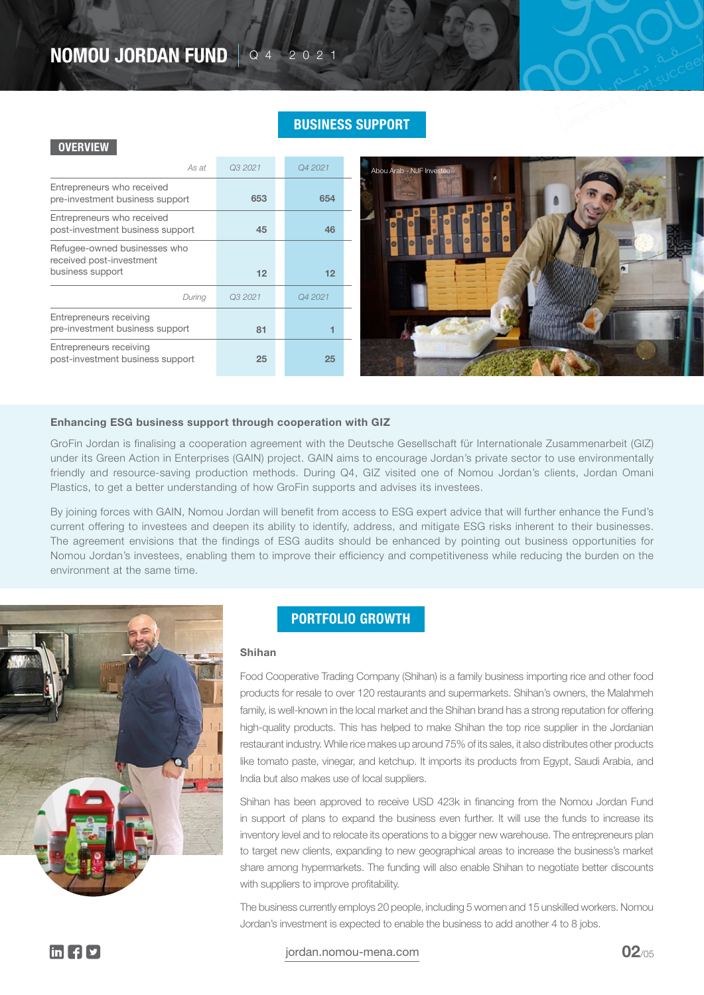# NOMOU JORDAN FUND | Q 4 2 0 2 1

## BUSINESS SUPPORT

#### **OVERVIEW**

| As at                                                                        | Q3 2021 | Q4 2021 |
|------------------------------------------------------------------------------|---------|---------|
| Entrepreneurs who received<br>pre-investment business support                | 653     | 654     |
| Entrepreneurs who received<br>post-investment business support               | 45      | 46      |
| Refugee-owned businesses who<br>received post-investment<br>business support | 12      | 12      |
| During                                                                       | Q3 2021 | Q4 2021 |
|                                                                              |         |         |
| Entrepreneurs receiving<br>pre-investment business support                   | 81      |         |



#### Enhancing ESG business support through cooperation with GIZ

GroFin Jordan is finalising a cooperation agreement with the Deutsche Gesellschaft für Internationale Zusammenarbeit (GIZ) under its Green Action in Enterprises (GAIN) project. GAIN aims to encourage Jordan's private sector to use environmentally friendly and resource-saving production methods. During Q4, GIZ visited one of Nomou Jordan's clients, Jordan Omani Plastics, to get a better understanding of how GroFin supports and advises its investees.

By joining forces with GAIN, Nomou Jordan will benefit from access to ESG expert advice that will further enhance the Fund's current offering to investees and deepen its ability to identify, address, and mitigate ESG risks inherent to their businesses. The agreement envisions that the findings of ESG audits should be enhanced by pointing out business opportunities for Nomou Jordan's investees, enabling them to improve their efficiency and competitiveness while reducing the burden on the environment at the same time.



### PORTFOLIO GROWTH

#### Shihan

Food Cooperative Trading Company (Shihan) is a family business importing rice and other food products for resale to over 120 restaurants and supermarkets. Shihan's owners, the Malahmeh family, is well-known in the local market and the Shihan brand has a strong reputation for offering high-quality products. This has helped to make Shihan the top rice supplier in the Jordanian restaurant industry. While rice makes up around 75% of its sales, it also distributes other products like tomato paste, vinegar, and ketchup. It imports its products from Egypt, Saudi Arabia, and India but also makes use of local suppliers.

Shihan has been approved to receive USD 423k in financing from the Nomou Jordan Fund in support of plans to expand the business even further. It will use the funds to increase its inventory level and to relocate its operations to a bigger new warehouse. The entrepreneurs plan to target new clients, expanding to new geographical areas to increase the business's market share among hypermarkets. The funding will also enable Shihan to negotiate better discounts with suppliers to improve profitability.

The business currently employs 20 people, including 5 women and 15 unskilled workers. Nomou Jordan's investment is expected to enable the business to add another 4 to 8 jobs.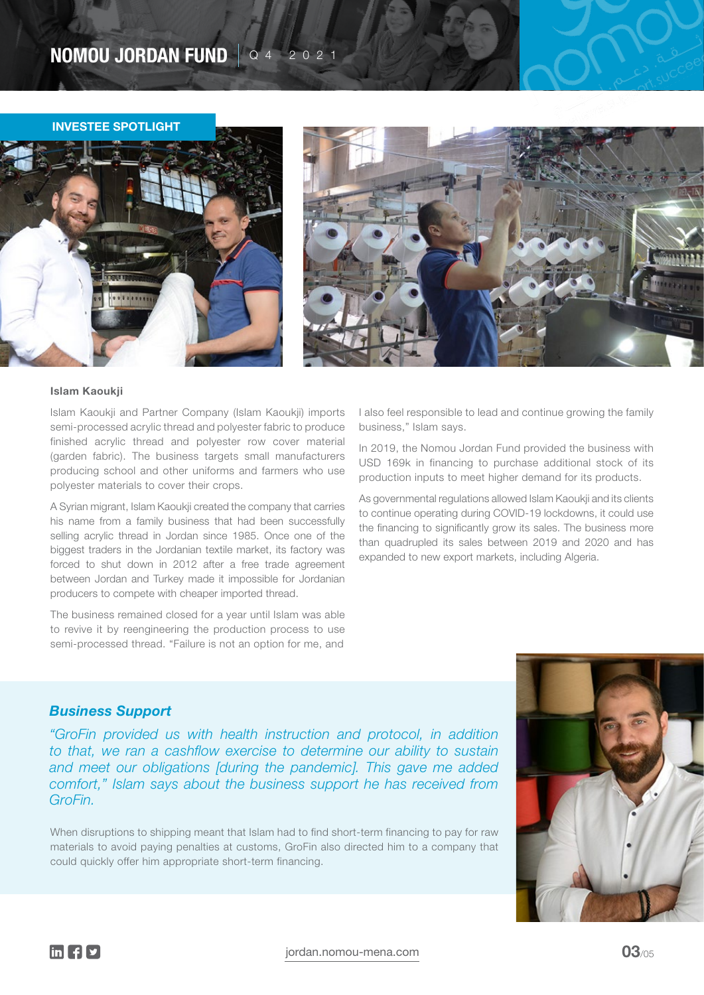# NOMOU JORDAN FUND  $\sqrt{24}$  2021

#### INVESTEE SPOTLIGHT





#### Islam Kaoukji

Islam Kaoukji and Partner Company (Islam Kaoukji) imports semi-processed acrylic thread and polyester fabric to produce finished acrylic thread and polyester row cover material (garden fabric). The business targets small manufacturers producing school and other uniforms and farmers who use polyester materials to cover their crops.

A Syrian migrant, Islam Kaoukji created the company that carries his name from a family business that had been successfully selling acrylic thread in Jordan since 1985. Once one of the biggest traders in the Jordanian textile market, its factory was forced to shut down in 2012 after a free trade agreement between Jordan and Turkey made it impossible for Jordanian producers to compete with cheaper imported thread.

The business remained closed for a year until Islam was able to revive it by reengineering the production process to use semi-processed thread. "Failure is not an option for me, and

I also feel responsible to lead and continue growing the family business," Islam says.

In 2019, the Nomou Jordan Fund provided the business with USD 169k in financing to purchase additional stock of its production inputs to meet higher demand for its products.

As governmental regulations allowed Islam Kaoukji and its clients to continue operating during COVID-19 lockdowns, it could use the financing to significantly grow its sales. The business more than quadrupled its sales between 2019 and 2020 and has expanded to new export markets, including Algeria.

### *Business Support*

*"GroFin provided us with health instruction and protocol, in addition to that, we ran a cashflow exercise to determine our ability to sustain and meet our obligations [during the pandemic]. This gave me added comfort," Islam says about the business support he has received from GroFin.*

When disruptions to shipping meant that Islam had to find short-term financing to pay for raw materials to avoid paying penalties at customs, GroFin also directed him to a company that could quickly offer him appropriate short-term financing.

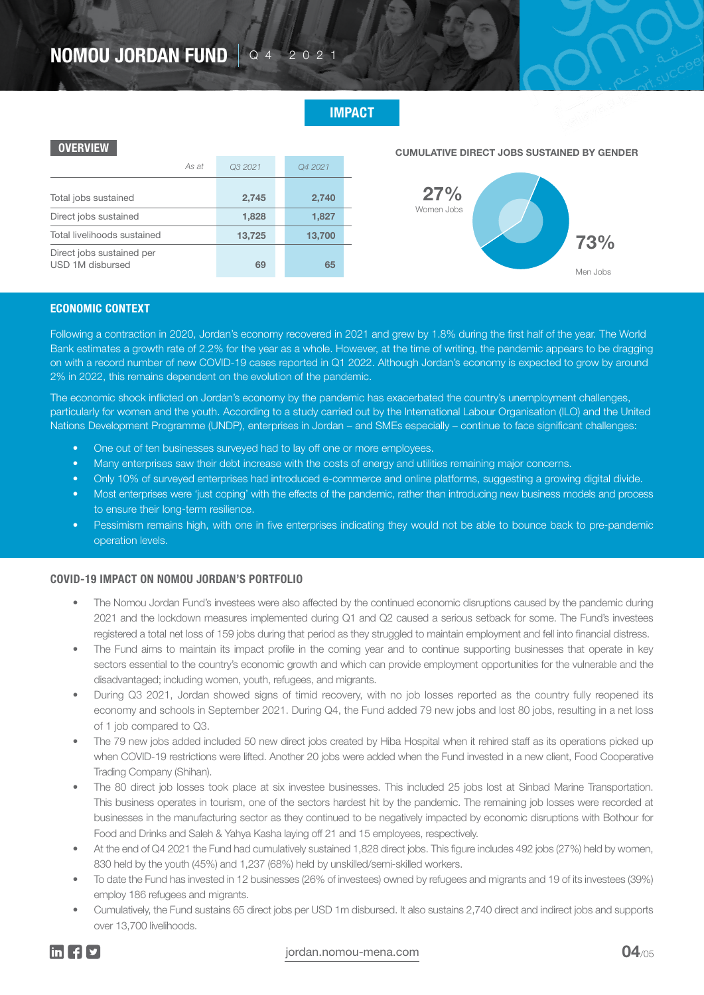# NOMOU JORDAN FUND | Q 4 2 0 2 1

## IMPACT

### **OVERVIEW**

| As at                                         | Q3 2021 | Q4 2021 |
|-----------------------------------------------|---------|---------|
| Total jobs sustained                          | 2,745   | 2,740   |
| Direct jobs sustained                         | 1,828   | 1,827   |
| Total livelihoods sustained                   | 13,725  | 13,700  |
| Direct jobs sustained per<br>USD 1M disbursed | 69      | 65      |

CUMULATIVE DIRECT JOBS SUSTAINED BY GENDER



#### ECONOMIC CONTEXT

Following a contraction in 2020, Jordan's economy recovered in 2021 and grew by 1.8% during the first half of the year. The World Bank estimates a growth rate of 2.2% for the year as a whole. However, at the time of writing, the pandemic appears to be dragging on with a record number of new COVID-19 cases reported in Q1 2022. Although Jordan's economy is expected to grow by around 2% in 2022, this remains dependent on the evolution of the pandemic.

The economic shock inflicted on Jordan's economy by the pandemic has exacerbated the country's unemployment challenges, particularly for women and the youth. According to a study carried out by the International Labour Organisation (ILO) and the United Nations Development Programme (UNDP), enterprises in Jordan – and SMEs especially – continue to face significant challenges:

- One out of ten businesses surveyed had to lay off one or more employees.
- Many enterprises saw their debt increase with the costs of energy and utilities remaining major concerns.
- Only 10% of surveyed enterprises had introduced e-commerce and online platforms, suggesting a growing digital divide.
- Most enterprises were 'just coping' with the effects of the pandemic, rather than introducing new business models and process to ensure their long-term resilience.
- Pessimism remains high, with one in five enterprises indicating they would not be able to bounce back to pre-pandemic operation levels.

#### COVID-19 IMPACT ON NOMOU JORDAN'S PORTFOLIO

- The Nomou Jordan Fund's investees were also affected by the continued economic disruptions caused by the pandemic during 2021 and the lockdown measures implemented during Q1 and Q2 caused a serious setback for some. The Fund's investees registered a total net loss of 159 jobs during that period as they struggled to maintain employment and fell into financial distress.
- The Fund aims to maintain its impact profile in the coming year and to continue supporting businesses that operate in key sectors essential to the country's economic growth and which can provide employment opportunities for the vulnerable and the disadvantaged; including women, youth, refugees, and migrants.
- During Q3 2021, Jordan showed signs of timid recovery, with no job losses reported as the country fully reopened its economy and schools in September 2021. During Q4, the Fund added 79 new jobs and lost 80 jobs, resulting in a net loss of 1 job compared to Q3.
- The 79 new jobs added included 50 new direct jobs created by Hiba Hospital when it rehired staff as its operations picked up when COVID-19 restrictions were lifted. Another 20 jobs were added when the Fund invested in a new client, Food Cooperative Trading Company (Shihan).
- The 80 direct job losses took place at six investee businesses. This included 25 jobs lost at Sinbad Marine Transportation. This business operates in tourism, one of the sectors hardest hit by the pandemic. The remaining job losses were recorded at businesses in the manufacturing sector as they continued to be negatively impacted by economic disruptions with Bothour for Food and Drinks and Saleh & Yahya Kasha laying off 21 and 15 employees, respectively.
- At the end of Q4 2021 the Fund had cumulatively sustained 1,828 direct jobs. This figure includes 492 jobs (27%) held by women, 830 held by the youth (45%) and 1,237 (68%) held by unskilled/semi-skilled workers.
- To date the Fund has invested in 12 businesses (26% of investees) owned by refugees and migrants and 19 of its investees (39%) employ 186 refugees and migrants.
- Cumulatively, the Fund sustains 65 direct jobs per USD 1m disbursed. It also sustains 2,740 direct and indirect jobs and supports over 13,700 livelihoods.